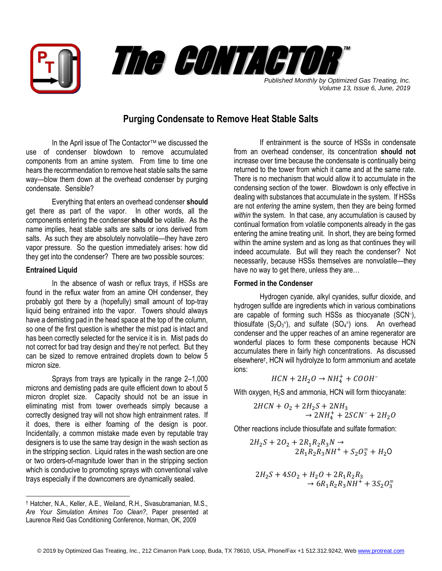



*Published Monthly by Optimized Gas Treating, Inc. Volume 13, Issue 6, June, 2019*

## **Purging Condensate to Remove Heat Stable Salts**

In the April issue of The Contactor<sup>™</sup> we discussed the use of condenser blowdown to remove accumulated components from an amine system. From time to time one hears the recommendation to remove heat stable salts the same way—blow them down at the overhead condenser by purging condensate. Sensible?

Everything that enters an overhead condenser **should** get there as part of the vapor. In other words, all the components entering the condenser **should** be volatile. As the name implies, heat stable salts are salts or ions derived from salts. As such they are absolutely nonvolatile—they have zero vapor pressure. So the question immediately arises: how did they get into the condenser? There are two possible sources:

## **Entrained Liquid**

 $\overline{a}$ 

In the absence of wash or reflux trays, if HSSs are found in the reflux water from an amine OH condenser, they probably got there by a (hopefully) small amount of top-tray liquid being entrained into the vapor. Towers should always have a demisting pad in the head space at the top of the column, so one of the first question is whether the mist pad is intact and has been correctly selected for the service it is in. Mist pads do not correct for bad tray design and they're not perfect. But they can be sized to remove entrained droplets down to below 5 micron size.

Sprays from trays are typically in the range 2–1,000 microns and demisting pads are quite efficient down to about 5 micron droplet size. Capacity should not be an issue in eliminating mist from tower overheads simply because a correctly designed tray will not show high entrainment rates. If it does, there is either foaming of the design is poor. Incidentally, a common mistake made even by reputable tray designers is to use the same tray design in the wash section as in the stripping section. Liquid rates in the wash section are one or two orders-of-magnitude lower than in the stripping section which is conducive to promoting sprays with conventional valve trays especially if the downcomers are dynamically sealed.

If entrainment is the source of HSSs in condensate from an overhead condenser, its concentration **should not** increase over time because the condensate is continually being returned to the tower from which it came and at the same rate. There is no mechanism that would allow it to accumulate in the condensing section of the tower. Blowdown is only effective in dealing with substances that accumulate in the system. If HSSs are not *entering* the amine system, then they are being formed *within* the system. In that case, any accumulation is caused by continual formation from volatile components already in the gas entering the amine treating unit. In short, they are being formed within the amine system and as long as that continues they will indeed accumulate. But will they reach the condenser? Not necessarily, because HSSs themselves are nonvolatile—they have no way to get there, unless they are…

## **Formed in the Condenser**

Hydrogen cyanide, alkyl cyanides, sulfur dioxide, and hydrogen sulfide are ingredients which in various combinations are capable of forming such HSSs as thiocyanate (SCN– ), thiosulfate  $(S_2O_3)$ , and sulfate  $(SO_4)$  ions. An overhead condenser and the upper reaches of an amine regenerator are wonderful places to form these components because HCN accumulates there in fairly high concentrations. As discussed elsewhere† , HCN will hydrolyze to form ammonium and acetate ions:

$$
HCN+2H_2O \rightarrow NH_4^+ + COOH^-
$$

With oxygen, H<sub>2</sub>S and ammonia, HCN will form thiocyanate:

$$
2HCN + O2 + 2H2S + 2NH3
$$
  

$$
\rightarrow 2NH4+ + 2SCN- + 2H2O
$$

Other reactions include thiosulfate and sulfate formation:

$$
2H_2S + 2O_2 + 2R_1R_2R_3N \rightarrow
$$
  

$$
2R_1R_2R_3NH^+ + S_2O_3^- + H_2O
$$

$$
2H_2S + 4SO_2 + H_2O + 2R_1R_2R_3
$$
  
\n
$$
\rightarrow 6R_1R_2R_3NH^+ + 3S_2O_3^-
$$

<sup>†</sup> Hatcher, N.A., Keller, A.E., Weiland, R.H., Sivasubramanian, M.S., *Are Your Simulation Amines Too Clean?*, Paper presented at Laurence Reid Gas Conditioning Conference, Norman, OK, 2009